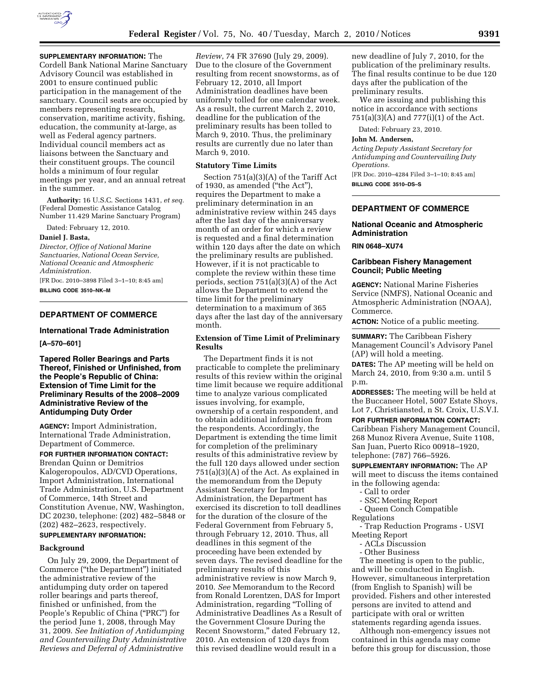

# **SUPPLEMENTARY INFORMATION:** The

Cordell Bank National Marine Sanctuary Advisory Council was established in 2001 to ensure continued public participation in the management of the sanctuary. Council seats are occupied by members representing research, conservation, maritime activity, fishing, education, the community at-large, as well as Federal agency partners. Individual council members act as liaisons between the Sanctuary and their constituent groups. The council holds a minimum of four regular meetings per year, and an annual retreat in the summer.

**Authority:** 16 U.S.C. Sections 1431, *et seq.*  (Federal Domestic Assistance Catalog Number 11.429 Marine Sanctuary Program)

Dated: February 12, 2010.

#### **Daniel J. Basta,**

*Director, Office of National Marine Sanctuaries, National Ocean Service, National Oceanic and Atmospheric Administration.* 

[FR Doc. 2010–3898 Filed 3–1–10; 8:45 am] **BILLING CODE 3510–NK–M** 

# **DEPARTMENT OF COMMERCE**

#### **International Trade Administration**

**[A–570–601]** 

**Tapered Roller Bearings and Parts Thereof, Finished or Unfinished, from the People's Republic of China: Extension of Time Limit for the Preliminary Results of the 2008–2009 Administrative Review of the Antidumping Duty Order** 

**AGENCY:** Import Administration, International Trade Administration, Department of Commerce.

**FOR FURTHER INFORMATION CONTACT:**  Brendan Quinn or Demitrios Kalogeropoulos, AD/CVD Operations, Import Administration, International Trade Administration, U.S. Department of Commerce, 14th Street and Constitution Avenue, NW, Washington, DC 20230, telephone: (202) 482–5848 or (202) 482–2623, respectively. **SUPPLEMENTARY INFORMATION:** 

#### **Background**

On July 29, 2009, the Department of Commerce (''the Department'') initiated the administrative review of the antidumping duty order on tapered roller bearings and parts thereof, finished or unfinished, from the People's Republic of China ("PRC") for the period June 1, 2008, through May 31, 2009. *See Initiation of Antidumping and Countervailing Duty Administrative Reviews and Deferral of Administrative* 

*Review*, 74 FR 37690 (July 29, 2009). Due to the closure of the Government resulting from recent snowstorms, as of February 12, 2010, all Import Administration deadlines have been uniformly tolled for one calendar week. As a result, the current March 2, 2010, deadline for the publication of the preliminary results has been tolled to March 9, 2010. Thus, the preliminary results are currently due no later than March 9, 2010.

### **Statutory Time Limits**

Section 751(a)(3)(A) of the Tariff Act of 1930, as amended (''the Act''), requires the Department to make a preliminary determination in an administrative review within 245 days after the last day of the anniversary month of an order for which a review is requested and a final determination within 120 days after the date on which the preliminary results are published. However, if it is not practicable to complete the review within these time periods, section 751(a)(3)(A) of the Act allows the Department to extend the time limit for the preliminary determination to a maximum of 365 days after the last day of the anniversary month.

## **Extension of Time Limit of Preliminary Results**

The Department finds it is not practicable to complete the preliminary results of this review within the original time limit because we require additional time to analyze various complicated issues involving, for example, ownership of a certain respondent, and to obtain additional information from the respondents. Accordingly, the Department is extending the time limit for completion of the preliminary results of this administrative review by the full 120 days allowed under section 751(a)(3)(A) of the Act. As explained in the memorandum from the Deputy Assistant Secretary for Import Administration, the Department has exercised its discretion to toll deadlines for the duration of the closure of the Federal Government from February 5, through February 12, 2010. Thus, all deadlines in this segment of the proceeding have been extended by seven days. The revised deadline for the preliminary results of this administrative review is now March 9, 2010. *See* Memorandum to the Record from Ronald Lorentzen, DAS for Import Administration, regarding ''Tolling of Administrative Deadlines As a Result of the Government Closure During the Recent Snowstorm,'' dated February 12, 2010. An extension of 120 days from this revised deadline would result in a

new deadline of July 7, 2010, for the publication of the preliminary results. The final results continue to be due 120 days after the publication of the preliminary results.

We are issuing and publishing this notice in accordance with sections 751(a)(3)(A) and 777(i)(1) of the Act.

Dated: February 23, 2010.

### **John M. Andersen,**

*Acting Deputy Assistant Secretary for Antidumping and Countervailing Duty Operations.* 

[FR Doc. 2010–4284 Filed 3–1–10; 8:45 am] **BILLING CODE 3510–DS–S** 

# **DEPARTMENT OF COMMERCE**

## **National Oceanic and Atmospheric Administration**

**RIN 0648–XU74** 

## **Caribbean Fishery Management Council; Public Meeting**

**AGENCY:** National Marine Fisheries Service (NMFS), National Oceanic and Atmospheric Administration (NOAA), Commerce.

**ACTION:** Notice of a public meeting.

**SUMMARY:** The Caribbean Fishery Management Council's Advisory Panel (AP) will hold a meeting.

**DATES:** The AP meeting will be held on March 24, 2010, from 9:30 a.m. until 5 p.m.

**ADDRESSES:** The meeting will be held at the Buccaneer Hotel, 5007 Estate Shoys, Lot 7, Christiansted, n St. Croix, U.S.V.I.

**FOR FURTHER INFORMATION CONTACT:**  Caribbean Fishery Management Council, 268 Munoz Rivera Avenue, Suite 1108, San Juan, Puerto Rico 00918–1920, telephone: (787) 766–5926.

**SUPPLEMENTARY INFORMATION:** The AP will meet to discuss the items contained in the following agenda:

- Call to order
- SSC Meeting Report
- Queen Conch Compatible Regulations

- Trap Reduction Programs - USVI Meeting Report

- ACLs Discussion
- Other Business

The meeting is open to the public, and will be conducted in English. However, simultaneous interpretation (from English to Spanish) will be provided. Fishers and other interested persons are invited to attend and participate with oral or written statements regarding agenda issues.

Although non-emergency issues not contained in this agenda may come before this group for discussion, those